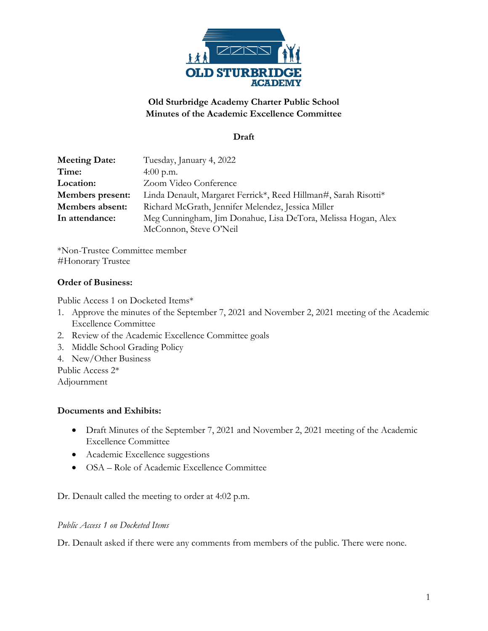

# **Old Sturbridge Academy Charter Public School Minutes of the Academic Excellence Committee**

## **Draft**

| <b>Meeting Date:</b> | Tuesday, January 4, 2022                                        |
|----------------------|-----------------------------------------------------------------|
| Time:                | 4:00 p.m.                                                       |
| Location:            | Zoom Video Conference                                           |
| Members present:     | Linda Denault, Margaret Ferrick*, Reed Hillman#, Sarah Risotti* |
| Members absent:      | Richard McGrath, Jennifer Melendez, Jessica Miller              |
| In attendance:       | Meg Cunningham, Jim Donahue, Lisa DeTora, Melissa Hogan, Alex   |
|                      | McConnon, Steve O'Neil                                          |

\*Non-Trustee Committee member #Honorary Trustee

## **Order of Business:**

Public Access 1 on Docketed Items\*

- 1. Approve the minutes of the September 7, 2021 and November 2, 2021 meeting of the Academic Excellence Committee
- 2. Review of the Academic Excellence Committee goals
- 3. Middle School Grading Policy
- 4. New/Other Business

Public Access 2\*

Adjournment

## **Documents and Exhibits:**

- Draft Minutes of the September 7, 2021 and November 2, 2021 meeting of the Academic Excellence Committee
- Academic Excellence suggestions
- OSA Role of Academic Excellence Committee

Dr. Denault called the meeting to order at 4:02 p.m.

#### *Public Access 1 on Docketed Items*

Dr. Denault asked if there were any comments from members of the public. There were none.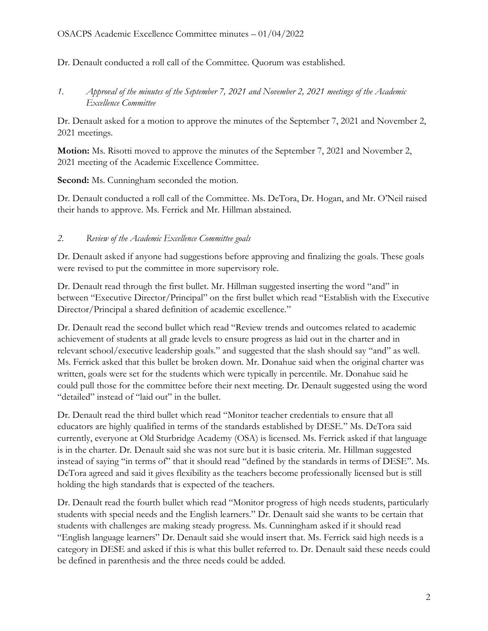Dr. Denault conducted a roll call of the Committee. Quorum was established.

*1. Approval of the minutes of the September 7, 2021 and November 2, 2021 meetings of the Academic Excellence Committee*

Dr. Denault asked for a motion to approve the minutes of the September 7, 2021 and November 2, 2021 meetings.

**Motion:** Ms. Risotti moved to approve the minutes of the September 7, 2021 and November 2, 2021 meeting of the Academic Excellence Committee.

**Second:** Ms. Cunningham seconded the motion.

Dr. Denault conducted a roll call of the Committee. Ms. DeTora, Dr. Hogan, and Mr. O'Neil raised their hands to approve. Ms. Ferrick and Mr. Hillman abstained.

## *2. Review of the Academic Excellence Committee goals*

Dr. Denault asked if anyone had suggestions before approving and finalizing the goals. These goals were revised to put the committee in more supervisory role.

Dr. Denault read through the first bullet. Mr. Hillman suggested inserting the word "and" in between "Executive Director/Principal" on the first bullet which read "Establish with the Executive Director/Principal a shared definition of academic excellence."

Dr. Denault read the second bullet which read "Review trends and outcomes related to academic achievement of students at all grade levels to ensure progress as laid out in the charter and in relevant school/executive leadership goals." and suggested that the slash should say "and" as well. Ms. Ferrick asked that this bullet be broken down. Mr. Donahue said when the original charter was written, goals were set for the students which were typically in percentile. Mr. Donahue said he could pull those for the committee before their next meeting. Dr. Denault suggested using the word "detailed" instead of "laid out" in the bullet.

Dr. Denault read the third bullet which read "Monitor teacher credentials to ensure that all educators are highly qualified in terms of the standards established by DESE." Ms. DeTora said currently, everyone at Old Sturbridge Academy (OSA) is licensed. Ms. Ferrick asked if that language is in the charter. Dr. Denault said she was not sure but it is basic criteria. Mr. Hillman suggested instead of saying "in terms of" that it should read "defined by the standards in terms of DESE". Ms. DeTora agreed and said it gives flexibility as the teachers become professionally licensed but is still holding the high standards that is expected of the teachers.

Dr. Denault read the fourth bullet which read "Monitor progress of high needs students, particularly students with special needs and the English learners." Dr. Denault said she wants to be certain that students with challenges are making steady progress. Ms. Cunningham asked if it should read "English language learners" Dr. Denault said she would insert that. Ms. Ferrick said high needs is a category in DESE and asked if this is what this bullet referred to. Dr. Denault said these needs could be defined in parenthesis and the three needs could be added.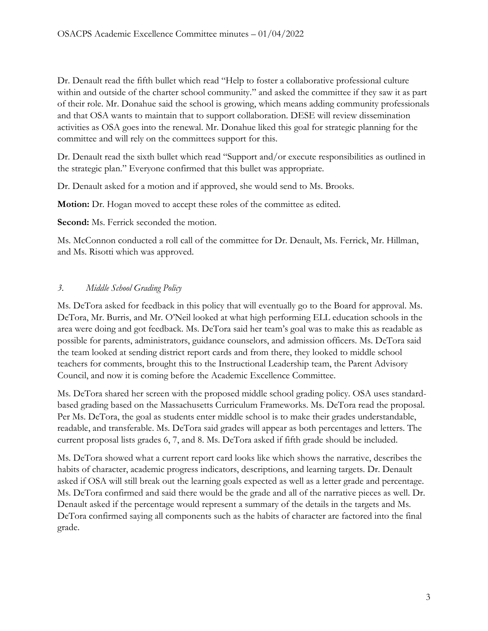Dr. Denault read the fifth bullet which read "Help to foster a collaborative professional culture within and outside of the charter school community." and asked the committee if they saw it as part of their role. Mr. Donahue said the school is growing, which means adding community professionals and that OSA wants to maintain that to support collaboration. DESE will review dissemination activities as OSA goes into the renewal. Mr. Donahue liked this goal for strategic planning for the committee and will rely on the committees support for this.

Dr. Denault read the sixth bullet which read "Support and/or execute responsibilities as outlined in the strategic plan." Everyone confirmed that this bullet was appropriate.

Dr. Denault asked for a motion and if approved, she would send to Ms. Brooks.

**Motion:** Dr. Hogan moved to accept these roles of the committee as edited.

**Second:** Ms. Ferrick seconded the motion.

Ms. McConnon conducted a roll call of the committee for Dr. Denault, Ms. Ferrick, Mr. Hillman, and Ms. Risotti which was approved.

## *3. Middle School Grading Policy*

Ms. DeTora asked for feedback in this policy that will eventually go to the Board for approval. Ms. DeTora, Mr. Burris, and Mr. O'Neil looked at what high performing ELL education schools in the area were doing and got feedback. Ms. DeTora said her team's goal was to make this as readable as possible for parents, administrators, guidance counselors, and admission officers. Ms. DeTora said the team looked at sending district report cards and from there, they looked to middle school teachers for comments, brought this to the Instructional Leadership team, the Parent Advisory Council, and now it is coming before the Academic Excellence Committee.

Ms. DeTora shared her screen with the proposed middle school grading policy. OSA uses standardbased grading based on the Massachusetts Curriculum Frameworks. Ms. DeTora read the proposal. Per Ms. DeTora, the goal as students enter middle school is to make their grades understandable, readable, and transferable. Ms. DeTora said grades will appear as both percentages and letters. The current proposal lists grades 6, 7, and 8. Ms. DeTora asked if fifth grade should be included.

Ms. DeTora showed what a current report card looks like which shows the narrative, describes the habits of character, academic progress indicators, descriptions, and learning targets. Dr. Denault asked if OSA will still break out the learning goals expected as well as a letter grade and percentage. Ms. DeTora confirmed and said there would be the grade and all of the narrative pieces as well. Dr. Denault asked if the percentage would represent a summary of the details in the targets and Ms. DeTora confirmed saying all components such as the habits of character are factored into the final grade.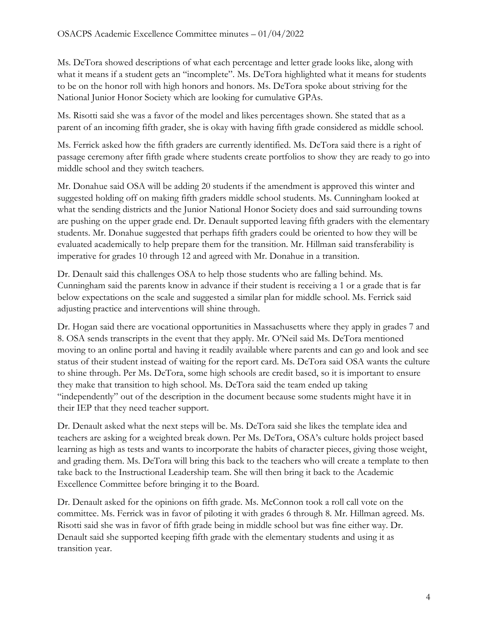Ms. DeTora showed descriptions of what each percentage and letter grade looks like, along with what it means if a student gets an "incomplete". Ms. DeTora highlighted what it means for students to be on the honor roll with high honors and honors. Ms. DeTora spoke about striving for the National Junior Honor Society which are looking for cumulative GPAs.

Ms. Risotti said she was a favor of the model and likes percentages shown. She stated that as a parent of an incoming fifth grader, she is okay with having fifth grade considered as middle school.

Ms. Ferrick asked how the fifth graders are currently identified. Ms. DeTora said there is a right of passage ceremony after fifth grade where students create portfolios to show they are ready to go into middle school and they switch teachers.

Mr. Donahue said OSA will be adding 20 students if the amendment is approved this winter and suggested holding off on making fifth graders middle school students. Ms. Cunningham looked at what the sending districts and the Junior National Honor Society does and said surrounding towns are pushing on the upper grade end. Dr. Denault supported leaving fifth graders with the elementary students. Mr. Donahue suggested that perhaps fifth graders could be oriented to how they will be evaluated academically to help prepare them for the transition. Mr. Hillman said transferability is imperative for grades 10 through 12 and agreed with Mr. Donahue in a transition.

Dr. Denault said this challenges OSA to help those students who are falling behind. Ms. Cunningham said the parents know in advance if their student is receiving a 1 or a grade that is far below expectations on the scale and suggested a similar plan for middle school. Ms. Ferrick said adjusting practice and interventions will shine through.

Dr. Hogan said there are vocational opportunities in Massachusetts where they apply in grades 7 and 8. OSA sends transcripts in the event that they apply. Mr. O'Neil said Ms. DeTora mentioned moving to an online portal and having it readily available where parents and can go and look and see status of their student instead of waiting for the report card. Ms. DeTora said OSA wants the culture to shine through. Per Ms. DeTora, some high schools are credit based, so it is important to ensure they make that transition to high school. Ms. DeTora said the team ended up taking "independently" out of the description in the document because some students might have it in their IEP that they need teacher support.

Dr. Denault asked what the next steps will be. Ms. DeTora said she likes the template idea and teachers are asking for a weighted break down. Per Ms. DeTora, OSA's culture holds project based learning as high as tests and wants to incorporate the habits of character pieces, giving those weight, and grading them. Ms. DeTora will bring this back to the teachers who will create a template to then take back to the Instructional Leadership team. She will then bring it back to the Academic Excellence Committee before bringing it to the Board.

Dr. Denault asked for the opinions on fifth grade. Ms. McConnon took a roll call vote on the committee. Ms. Ferrick was in favor of piloting it with grades 6 through 8. Mr. Hillman agreed. Ms. Risotti said she was in favor of fifth grade being in middle school but was fine either way. Dr. Denault said she supported keeping fifth grade with the elementary students and using it as transition year.